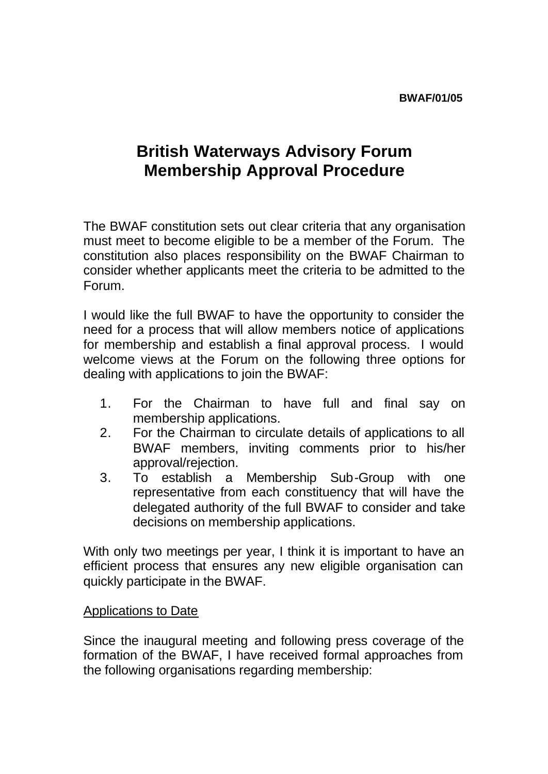## **British Waterways Advisory Forum Membership Approval Procedure**

The BWAF constitution sets out clear criteria that any organisation must meet to become eligible to be a member of the Forum. The constitution also places responsibility on the BWAF Chairman to consider whether applicants meet the criteria to be admitted to the Forum.

I would like the full BWAF to have the opportunity to consider the need for a process that will allow members notice of applications for membership and establish a final approval process. I would welcome views at the Forum on the following three options for dealing with applications to join the BWAF:

- 1. For the Chairman to have full and final say on membership applications.
- 2. For the Chairman to circulate details of applications to all BWAF members, inviting comments prior to his/her approval/rejection.
- 3. To establish a Membership Sub-Group with one representative from each constituency that will have the delegated authority of the full BWAF to consider and take decisions on membership applications.

With only two meetings per year, I think it is important to have an efficient process that ensures any new eligible organisation can quickly participate in the BWAF.

## Applications to Date

Since the inaugural meeting and following press coverage of the formation of the BWAF, I have received formal approaches from the following organisations regarding membership: